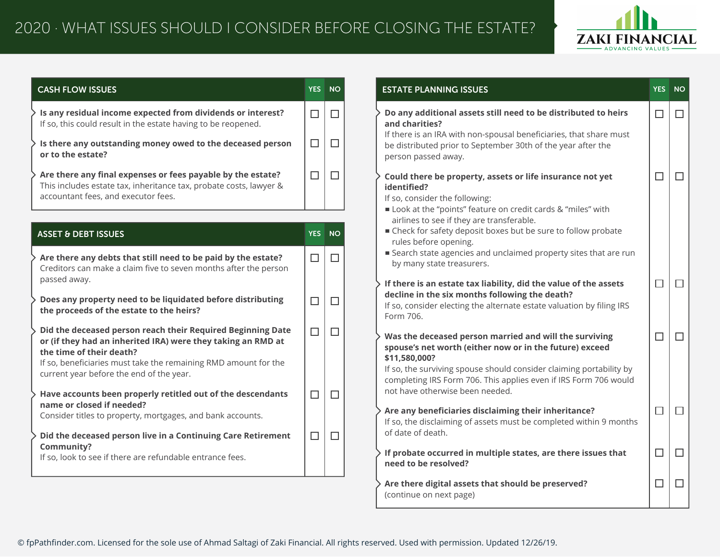

| <b>CASH FLOW ISSUES</b>                                                                                                                                                                                                                                                |                  | YES NO           | <b>ESTATE PLANNING ISSUES</b>                                                                                                                                                                                                                                                 | YES NO |        |
|------------------------------------------------------------------------------------------------------------------------------------------------------------------------------------------------------------------------------------------------------------------------|------------------|------------------|-------------------------------------------------------------------------------------------------------------------------------------------------------------------------------------------------------------------------------------------------------------------------------|--------|--------|
| Is any residual income expected from dividends or interest?<br>If so, this could result in the estate having to be reopened.<br>Is there any outstanding money owed to the deceased person<br>or to the estate?                                                        | $\Box$<br>$\Box$ | $\Box$<br>$\Box$ | Do any additional assets still need to be distributed to heirs<br>and charities?<br>If there is an IRA with non-spousal beneficiaries, that share must<br>be distributed prior to September 30th of the year after the                                                        | $\Box$ | $\Box$ |
| Are there any final expenses or fees payable by the estate?<br>This includes estate tax, inheritance tax, probate costs, lawyer &<br>accountant fees, and executor fees.                                                                                               | $\Box$           | $\Box$           | person passed away.<br>Could there be property, assets or life insurance not yet<br>identified?<br>If so, consider the following:<br>Look at the "points" feature on credit cards & "miles" with                                                                              | $\Box$ | $\Box$ |
| <b>ASSET &amp; DEBT ISSUES</b>                                                                                                                                                                                                                                         | YES <sup>1</sup> | <b>NO</b>        | airlines to see if they are transferable.<br>■ Check for safety deposit boxes but be sure to follow probate<br>rules before opening.                                                                                                                                          |        |        |
| Are there any debts that still need to be paid by the estate?<br>Creditors can make a claim five to seven months after the person                                                                                                                                      | $\Box$           | $\Box$           | ■ Search state agencies and unclaimed property sites that are run<br>by many state treasurers.                                                                                                                                                                                |        |        |
| passed away.<br>Does any property need to be liquidated before distributing<br>the proceeds of the estate to the heirs?                                                                                                                                                | $\Box$           | $\Box$           | If there is an estate tax liability, did the value of the assets<br>decline in the six months following the death?<br>If so, consider electing the alternate estate valuation by filing IRS<br>Form 706.                                                                      | $\Box$ | $\Box$ |
| Did the deceased person reach their Required Beginning Date<br>or (if they had an inherited IRA) were they taking an RMD at<br>the time of their death?<br>If so, beneficiaries must take the remaining RMD amount for the<br>current year before the end of the year. | $\Box$           | $\Box$           | Was the deceased person married and will the surviving<br>spouse's net worth (either now or in the future) exceed<br>\$11,580,000?<br>If so, the surviving spouse should consider claiming portability by<br>completing IRS Form 706. This applies even if IRS Form 706 would | $\Box$ | $\Box$ |
| Have accounts been properly retitled out of the descendants<br>name or closed if needed?<br>Consider titles to property, mortgages, and bank accounts.                                                                                                                 | $\Box$           | $\Box$           | not have otherwise been needed.<br>Are any beneficiaries disclaiming their inheritance?                                                                                                                                                                                       | $\Box$ | $\Box$ |
| Did the deceased person live in a Continuing Care Retirement<br>Community?                                                                                                                                                                                             | $\Box$           | $\Box$           | If so, the disclaiming of assets must be completed within 9 months<br>of date of death.                                                                                                                                                                                       |        |        |
| If so, look to see if there are refundable entrance fees.                                                                                                                                                                                                              |                  |                  | If probate occurred in multiple states, are there issues that<br>need to be resolved?                                                                                                                                                                                         | $\Box$ | $\Box$ |
|                                                                                                                                                                                                                                                                        |                  |                  | Are there digital assets that should be preserved?<br>(continue on next page)                                                                                                                                                                                                 | $\Box$ | $\Box$ |